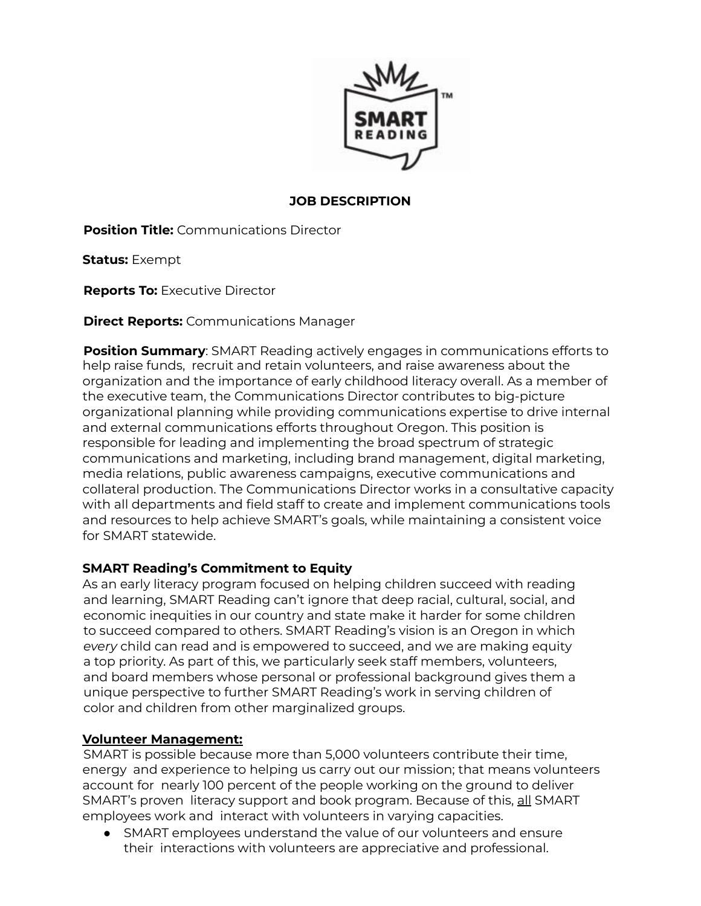

### **JOB DESCRIPTION**

**Position Title:** Communications Director

**Status:** Exempt

**Reports To:** Executive Director

**Direct Reports:** Communications Manager

**Position Summary**: SMART Reading actively engages in communications efforts to help raise funds, recruit and retain volunteers, and raise awareness about the organization and the importance of early childhood literacy overall. As a member of the executive team, the Communications Director contributes to big-picture organizational planning while providing communications expertise to drive internal and external communications efforts throughout Oregon. This position is responsible for leading and implementing the broad spectrum of strategic communications and marketing, including brand management, digital marketing, media relations, public awareness campaigns, executive communications and collateral production. The Communications Director works in a consultative capacity with all departments and field staff to create and implement communications tools and resources to help achieve SMART's goals, while maintaining a consistent voice for SMART statewide.

### **SMART Reading's Commitment to Equity**

As an early literacy program focused on helping children succeed with reading and learning, SMART Reading can't ignore that deep racial, cultural, social, and economic inequities in our country and state make it harder for some children to succeed compared to others. SMART Reading's vision is an Oregon in which *every* child can read and is empowered to succeed, and we are making equity a top priority. As part of this, we particularly seek staff members, volunteers, and board members whose personal or professional background gives them a unique perspective to further SMART Reading's work in serving children of color and children from other marginalized groups.

#### **Volunteer Management:**

SMART is possible because more than 5,000 volunteers contribute their time, energy and experience to helping us carry out our mission; that means volunteers account for nearly 100 percent of the people working on the ground to deliver SMART's proven literacy support and book program. Because of this, all SMART employees work and interact with volunteers in varying capacities.

● SMART employees understand the value of our volunteers and ensure their interactions with volunteers are appreciative and professional.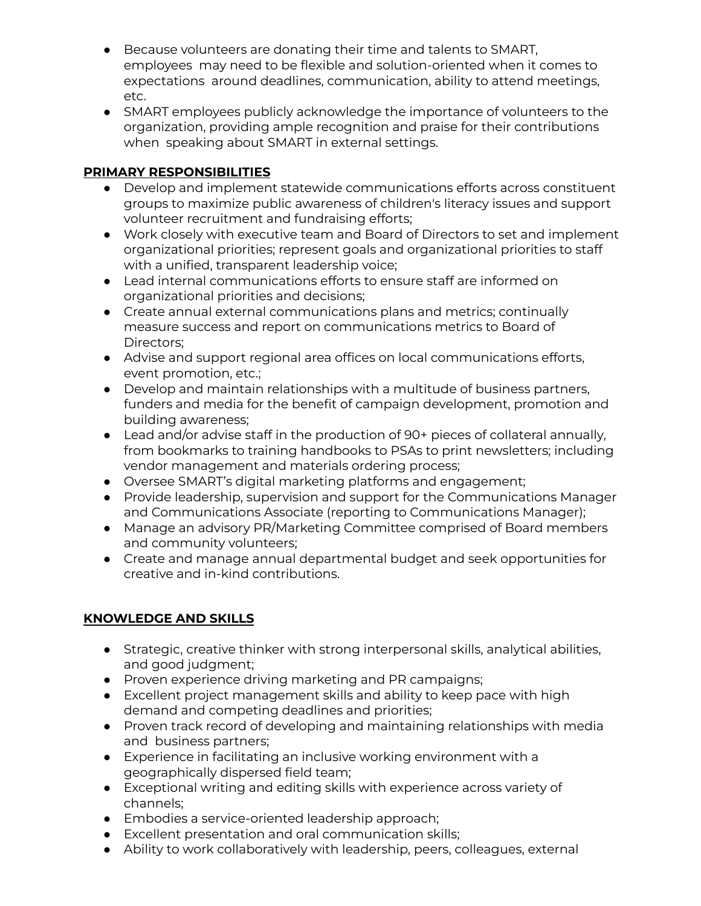- Because volunteers are donating their time and talents to SMART, employees may need to be flexible and solution-oriented when it comes to expectations around deadlines, communication, ability to attend meetings, etc.
- SMART employees publicly acknowledge the importance of volunteers to the organization, providing ample recognition and praise for their contributions when speaking about SMART in external settings.

## **PRIMARY RESPONSIBILITIES**

- Develop and implement statewide communications efforts across constituent groups to maximize public awareness of children's literacy issues and support volunteer recruitment and fundraising efforts;
- Work closely with executive team and Board of Directors to set and implement organizational priorities; represent goals and organizational priorities to staff with a unified, transparent leadership voice;
- Lead internal communications efforts to ensure staff are informed on organizational priorities and decisions;
- Create annual external communications plans and metrics; continually measure success and report on communications metrics to Board of Directors;
- Advise and support regional area offices on local communications efforts, event promotion, etc.;
- Develop and maintain relationships with a multitude of business partners, funders and media for the benefit of campaign development, promotion and building awareness;
- Lead and/or advise staff in the production of 90+ pieces of collateral annually, from bookmarks to training handbooks to PSAs to print newsletters; including vendor management and materials ordering process;
- Oversee SMART's digital marketing platforms and engagement;
- Provide leadership, supervision and support for the Communications Manager and Communications Associate (reporting to Communications Manager);
- Manage an advisory PR/Marketing Committee comprised of Board members and community volunteers;
- Create and manage annual departmental budget and seek opportunities for creative and in-kind contributions.

# **KNOWLEDGE AND SKILLS**

- Strategic, creative thinker with strong interpersonal skills, analytical abilities, and good judgment;
- Proven experience driving marketing and PR campaigns;
- Excellent project management skills and ability to keep pace with high demand and competing deadlines and priorities;
- Proven track record of developing and maintaining relationships with media and business partners;
- Experience in facilitating an inclusive working environment with a geographically dispersed field team;
- Exceptional writing and editing skills with experience across variety of channels;
- Embodies a service-oriented leadership approach;
- Excellent presentation and oral communication skills;
- Ability to work collaboratively with leadership, peers, colleagues, external